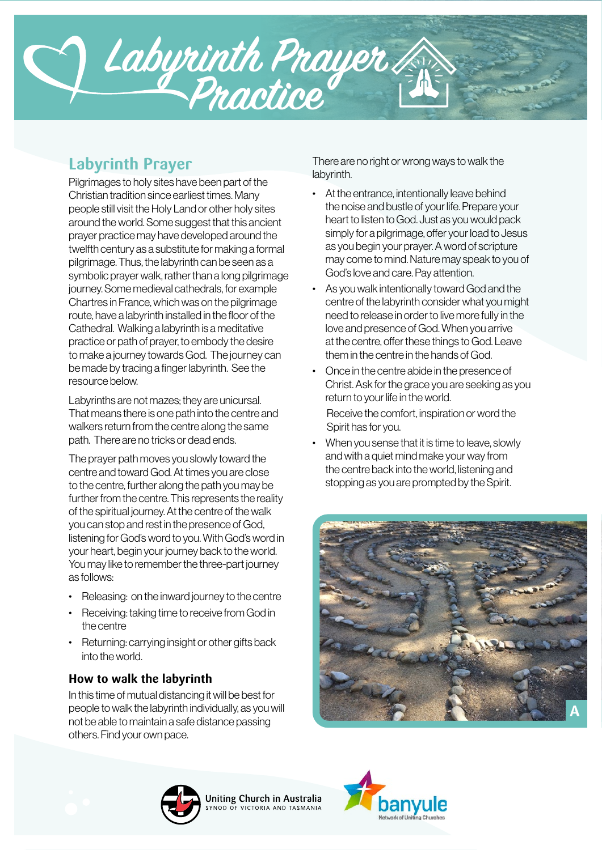

# **Labyrinth Prayer**

Pilgrimages to holy sites have been part of the Christian tradition since earliest times. Many people still visit the Holy Land or other holy sites around the world. Some suggest that this ancient prayer practice may have developed around the twelfth century as a substitute for making a formal pilgrimage. Thus, the labyrinth can be seen as a symbolic prayer walk, rather than a long pilgrimage journey. Some medieval cathedrals, for example Chartres in France, which was on the pilgrimage route, have a labyrinth installed in the floor of the Cathedral. Walking a labyrinth is a meditative practice or path of prayer, to embody the desire to make a journey towards God. The journey can be made by tracing a finger labyrinth. See the resource below.

Labyrinths are not mazes; they are unicursal. That means there is one path into the centre and walkers return from the centre along the same path. There are no tricks or dead ends.

The prayer path moves you slowly toward the centre and toward God. At times you are close to the centre, further along the path you may be further from the centre. This represents the reality of the spiritual journey. At the centre of the walk you can stop and rest in the presence of God, listening for God's word to you. With God's word in your heart, begin your journey back to the world. You may like to remember the three-part journey as follows:

- Releasing: on the inward journey to the centre
- Receiving: taking time to receive from God in the centre
- Returning: carrying insight or other gifts back into the world.

## **How to walk the labyrinth**

In this time of mutual distancing it will be best for people to walk the labyrinth individually, as you will not be able to maintain a safe distance passing others. Find your own pace.

There are no right or wrong ways to walk the labyrinth.

- At the entrance, intentionally leave behind the noise and bustle of your life. Prepare your heart to listen to God. Just as you would pack simply for a pilgrimage, offer your load to Jesus as you begin your prayer. A word of scripture may come to mind. Nature may speak to you of God's love and care. Pay attention.
- As you walk intentionally toward God and the centre of the labyrinth consider what you might need to release in order to live more fully in the love and presence of God. When you arrive at the centre, offer these things to God. Leave them in the centre in the hands of God.
- Once in the centre abide in the presence of Christ. Ask for the grace you are seeking as you return to your life in the world.

Receive the comfort, inspiration or word the Spirit has for you.

• When you sense that it is time to leave, slowly and with a quiet mind make your way from the centre back into the world, listening and stopping as you are prompted by the Spirit.





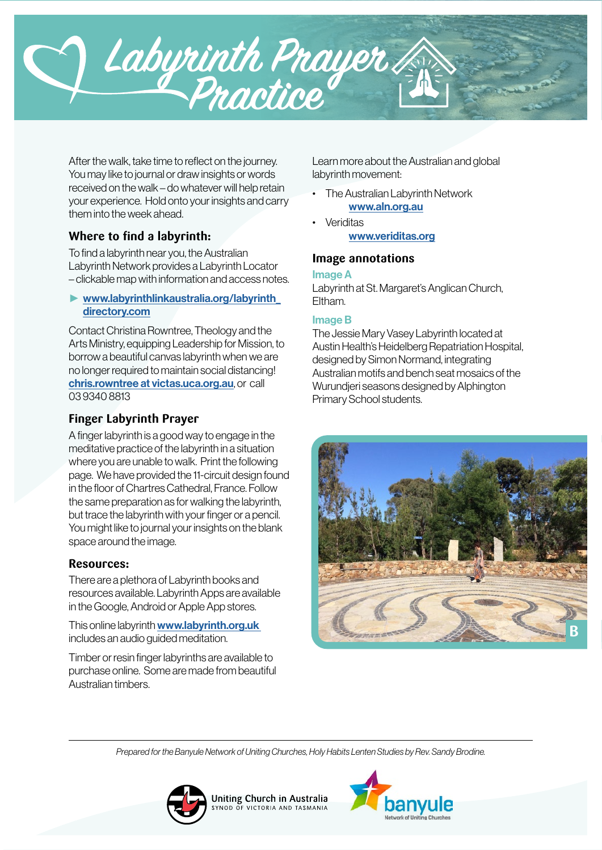

After the walk, take time to reflect on the journey. You may like to journal or draw insights or words received on the walk – do whatever will help retain your experience. Hold onto your insights and carry them into the week ahead.

# **Where to find a labyrinth:**

To find a labyrinth near you, the Australian Labyrinth Network provides a Labyrinth Locator – clickable map with information and access notes.

## ► [www.labyrinthlinkaustralia.org/labyrinth\\_](http://www.labyrinthlinkaustralia.org/labyrinth_directory.htm) [directory.](http://www.labyrinthlinkaustralia.org/labyrinth_directory.htm)com

Contact Christina Rowntree, Theology and the Arts Ministry, equipping Leadership for Mission, to borrow a beautiful canvas labyrinth when we are no longer required to maintain social distancing! [chris.rowntree at victas.uca.org.au](mailto:chris.rowntree%20at%20victas.uca.org.au?subject=), or call 03 9340 8813

# **Finger Labyrinth Prayer**

A finger labyrinth is a good way to engage in the meditative practice of the labyrinth in a situation where you are unable to walk. Print the following page. We have provided the 11-circuit design found in the floor of Chartres Cathedral, France. Follow the same preparation as for walking the labyrinth, but trace the labyrinth with your finger or a pencil. You might like to journal your insights on the blank space around the image.

## **Resources:**

There are a plethora of Labyrinth books and resources available. Labyrinth Apps are available in the Google, Android or Apple App stores.

This online labyrinth [www.labyrinth.org.uk](http://www.labyrinth.org.uk/)  includes an audio guided meditation.

Timber or resin finger labyrinths are available to purchase online. Some are made from beautiful Australian timbers.

Learn more about the Australian and global labyrinth movement:

- The Australian Labyrinth Network www.[aln.org.au](https://aln.org.au)
- **Veriditas** [www.veriditas.org](https://www.veriditas.org)

## **Image annotations**

#### Image A

Labyrinth at St. Margaret's Anglican Church, Eltham.

#### Image B

The Jessie Mary Vasey Labyrinth located at Austin Health's Heidelberg Repatriation Hospital, designed by Simon Normand, integrating Australian motifs and bench seat mosaics of the Wurundjeri seasons designed by Alphington Primary School students.



*Prepared for the Banyule Network of Uniting Churches, Holy Habits Lenten Studies by Rev. Sandy Brodine.*

Uniting Church in Australia

NOD OF VICTORIA AND TASMANIA